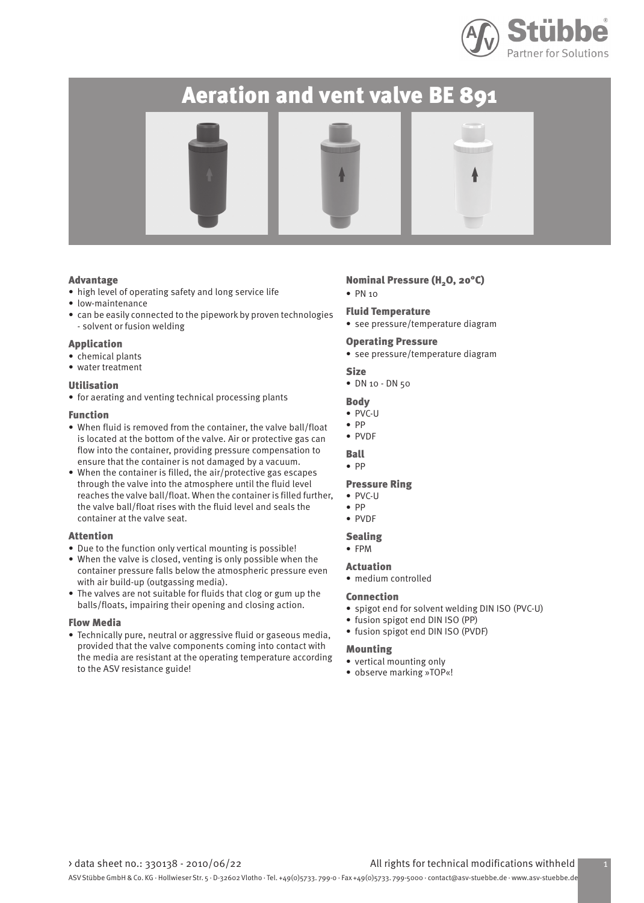

# Aeration and vent valve BE 891







#### Advantage

- high level of operating safety and long service life
- low-maintenance
- can be easily connected to the pipework by proven technologies - solvent or fusion welding

#### Application

- chemical plants
- water treatment

#### Utilisation

• for aerating and venting technical processing plants

#### Function

- When fluid is removed from the container, the valve ball/float is located at the bottom of the valve. Air or protective gas can flow into the container, providing pressure compensation to ensure that the container is not damaged by a vacuum.
- When the container is filled, the air/protective gas escapes through the valve into the atmosphere until the fluid level reaches the valve ball/float. When the container is filled further, the valve ball/float rises with the fluid level and seals the container at the valve seat.

#### Attention

- Due to the function only vertical mounting is possible!
- When the valve is closed, venting is only possible when the container pressure falls below the atmospheric pressure even with air build-up (outgassing media).
- The valves are not suitable for fluids that clog or gum up the balls/floats, impairing their opening and closing action.

#### Flow Media

• Technically pure, neutral or aggressive fluid or gaseous media, provided that the valve components coming into contact with the media are resistant at the operating temperature according to the ASV resistance guide!

#### Nominal Pressure (H<sub>2</sub>O, 20°C)

• PN 10

#### Fluid Temperature

• see pressure/temperature diagram

## Operating Pressure

• see pressure/temperature diagram

#### **Size**

• DN 10 - DN 50

#### Body

- PVC-U
- PP
- PVDF
- Ball
- PP

#### Pressure Ring

- PVC-U
- PP
- PVDF

### Sealing

• FPM

#### Actuation

• medium controlled

#### Connection

- spigot end for solvent welding DIN ISO (PVC-U)
- fusion spigot end DIN ISO (PP)
- fusion spigot end DIN ISO (PVDF)

#### Mounting

- vertical mounting only
- observe marking »TOP«!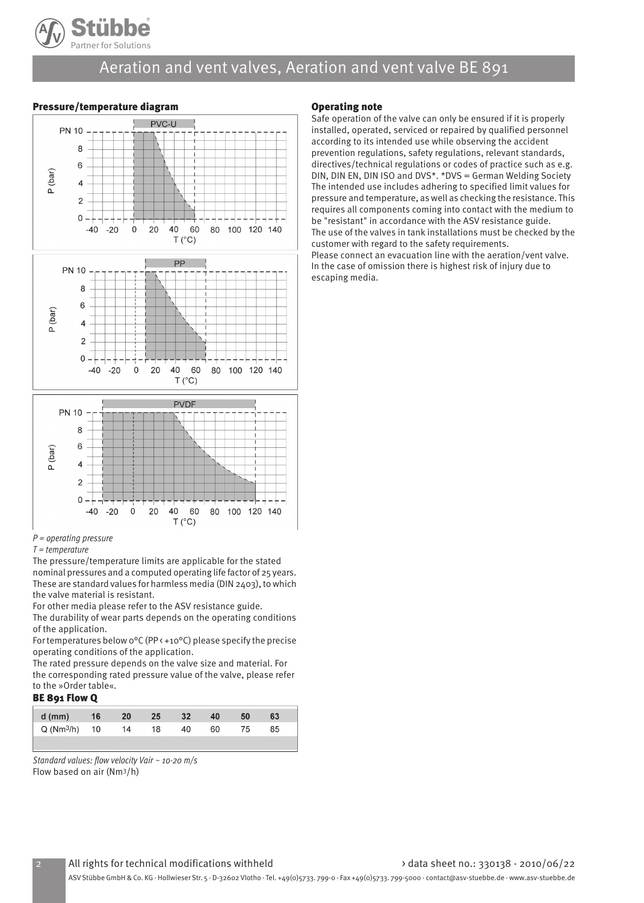

#### PVC-U **PN 10**  $\mathsf{R}$ 6 P (bar)  $\overline{4}$  $\overline{2}$  $\Omega$  –  $-40$  $-20$  $\mathsf 0$ 20 40 60 80 100 120 140  $T (°C)$ PP **PN 10** 8  $\overline{6}$ P (bar)  $\overline{4}$  $\overline{2}$  $0 -20$  $\mathsf 0$ 20 40 60 80 100 120 140  $-40$  $T (°C)$ **PVDF PN 10** 8 6 P (bar)  $\overline{4}$  $\overline{2}$  $\Omega$  $-40$  $-20$  $\mathbf 0$ 20 40 60 80 100 120 140  $T (°C)$

#### Pressure/temperature diagram

 $P =$  operating pressure

 $T = temperature$ 

The pressure/temperature limits are applicable for the stated nominal pressures and a computed operating life factor of 25 years. These are standard values for harmless media (DIN 2403), to which the valve material is resistant.

For other media please refer to the ASV resistance guide. The durability of wear parts depends on the operating conditions of the application.

For temperatures below 0°C (PP < +10°C) please specify the precise operating conditions of the application.

The rated pressure depends on the valve size and material. For the corresponding rated pressure value of the valve, please refer to the »Order table«.

#### BE 891 Flow Q

| d (mm) 16 20 25 32 40 50                 |  |  |  | 63 |
|------------------------------------------|--|--|--|----|
| Q (Nm <sup>3</sup> /h) 10 14 18 40 60 75 |  |  |  | 85 |
|                                          |  |  |  |    |

Standard values: flow velocity Vair ~ 10-20 m/s Flow based on air (Nm3/h)

#### Operating note

Safe operation of the valve can only be ensured if it is properly installed, operated, serviced or repaired by qualified personnel according to its intended use while observing the accident prevention regulations, safety regulations, relevant standards, directives/technical regulations or codes of practice such as e.g. DIN, DIN EN, DIN ISO and DVS\*. \*DVS = German Welding Society The intended use includes adhering to specified limit values for pressure and temperature, as well as checking the resistance. This requires all components coming into contact with the medium to be "resistant" in accordance with the ASV resistance guide. The use of the valves in tank installations must be checked by the customer with regard to the safety requirements. Please connect an evacuation line with the aeration/vent valve. In the case of omission there is highest risk of injury due to escaping media.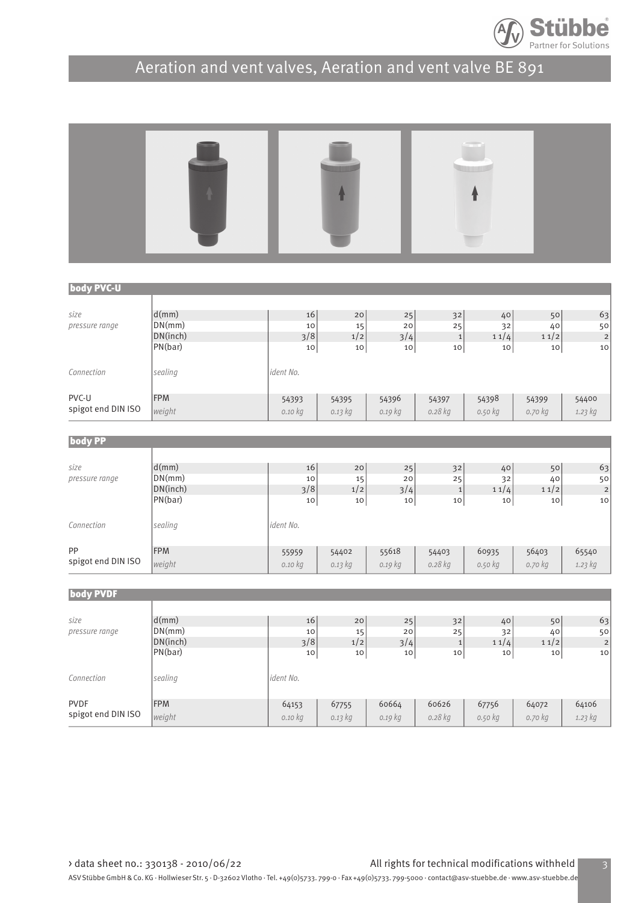



| body PVC-U         |            |           |             |             |                 |             |         |                         |
|--------------------|------------|-----------|-------------|-------------|-----------------|-------------|---------|-------------------------|
|                    |            |           |             |             |                 |             |         |                         |
| size               | d(mm)      | 16        | 20          | 25          | 32              | 40          | 50      | 63                      |
| pressure range     | DN(mm)     | 10        | 15          | 20          | 25              | 32          | 40      | 50                      |
|                    | DN(inch)   | 3/8       | 1/2         | 3/4         | $\,1\,$         | 11/4        | 11/2    | $\overline{\mathbf{c}}$ |
|                    | PN(bar)    | 10        | 10          | 10          | 10              | 10          | 10      | 10                      |
| Connection         | sealing    | ident No. |             |             |                 |             |         |                         |
| PVC-U              | <b>FPM</b> | 54393     | 54395       | 54396       | 54397           | 54398       | 54399   | 54400                   |
| spigot end DIN ISO | weight     | 0.10 kg   | 0.13 kg     | 0.19 kg     | $0.28$ $kg$     | 0.50 kg     | 0.70 kg | 1.23 kg                 |
|                    |            |           |             |             |                 |             |         |                         |
| <b>body PP</b>     |            |           |             |             |                 |             |         |                         |
| size               | d(mm)      | 16        | 20          | 25          | 32              | 40          | 50      | 63                      |
| pressure range     | DN(mm)     | 10        | 15          | 20          | 25              | 32          | 40      |                         |
|                    | DN(inch)   | 3/8       | 1/2         | 3/4         | $\mathbf 1$     | 11/4        | 11/2    | 50<br>2                 |
|                    | PN(bar)    | 10        | $10$        | $10\,$      | 10 <sub>1</sub> | 10          | $10$    | 10                      |
| Connection         | sealing    | ident No. |             |             |                 |             |         |                         |
|                    |            |           |             |             |                 |             |         |                         |
| PP                 | <b>FPM</b> | 55959     | 54402       | 55618       | 54403           | 60935       | 56403   | 65540                   |
| spigot end DIN ISO | weight     | 0.10 kg   | $0.13$ $kg$ | $0.19$ $kg$ | 0.28 kg         | $0.50$ $kg$ | 0.70 kg | 1.23 kg                 |
|                    |            |           |             |             |                 |             |         |                         |
| <b>body PVDF</b>   |            |           |             |             |                 |             |         |                         |
| size               | d(mm)      | 16        | 20          | 25          | 32              | 40          | 50      | 63                      |
| pressure range     | DN(mm)     | 10        | 15          | 20          | 25              | 32          | 40      | 50                      |
|                    | DN(inch)   | 3/8       | 1/2         | 3/4         | $\mathbf 1$     | 11/4        | 11/2    | $\overline{\mathbf{c}}$ |
|                    | PN(bar)    | 10        | 10          | 10          | 10              | 10          | 10      | 10                      |

| Connection         | sealing    | ident No. |         |         |             |         |         |             |
|--------------------|------------|-----------|---------|---------|-------------|---------|---------|-------------|
| <b>PVDF</b>        | <b>FPM</b> | 64153     | 67755   | 60664   | 60626       | 67756   | 64072   | 64106       |
| spigot end DIN ISO | weight     | 0.10 kg   | 0.13 kg | 0.19 kg | $0.28$ $kg$ | 0.50 kg | 0.70 kg | $1.23$ $kg$ |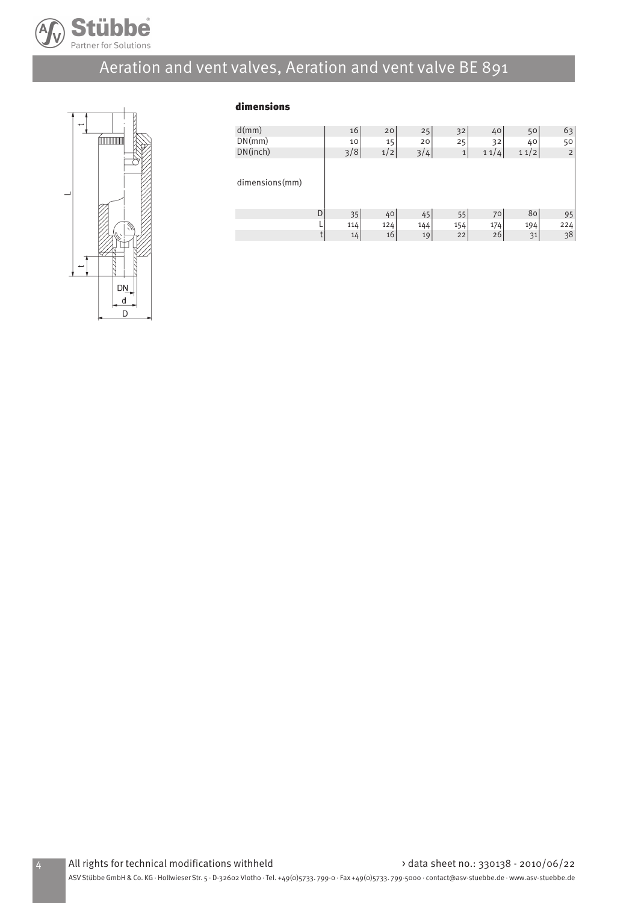



| dimensions |  |  |  |  |  |  |
|------------|--|--|--|--|--|--|
|------------|--|--|--|--|--|--|

| d(mm)          |   | 16  | 20  | 25  | 32           | 40   | 50   | 63             |
|----------------|---|-----|-----|-----|--------------|------|------|----------------|
| DN(mm)         |   | 10  | 15  | 20  | 25           | 32   | 40   | 50             |
| DN(inch)       |   | 3/8 | 1/2 | 3/4 | $\mathbf{1}$ | 11/4 | 11/2 | $\overline{2}$ |
| dimensions(mm) |   |     |     |     |              |      |      |                |
|                | D | 35  | 40  | 45  | 55           | 70   | 80   | 95             |
|                |   | 114 | 124 | 144 | 154          | 174  | 194  | 224            |
|                | t | 14  | 16  | 19  | 22           | 26   | 31   | 38             |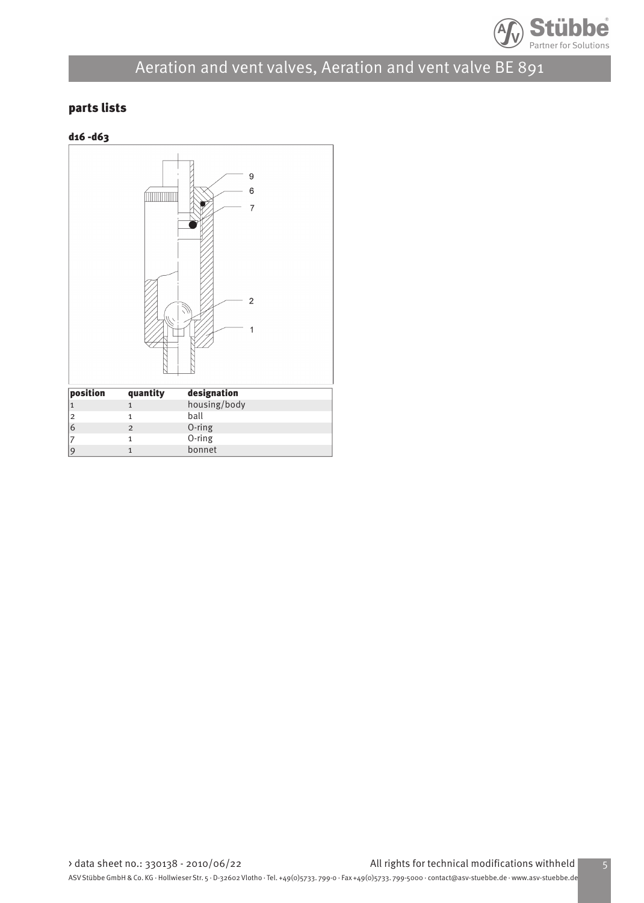

### parts lists



| position | quantity | designation  |
|----------|----------|--------------|
|          |          | housing/body |
|          |          | ball         |
| 6        |          | $0$ -ring    |
|          |          | 0-ring       |
|          |          | bonnet       |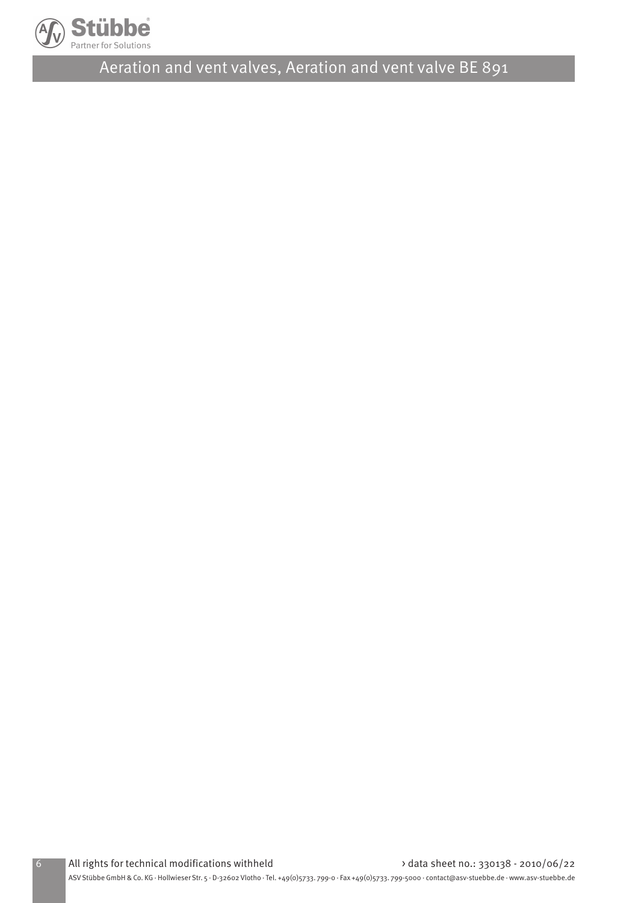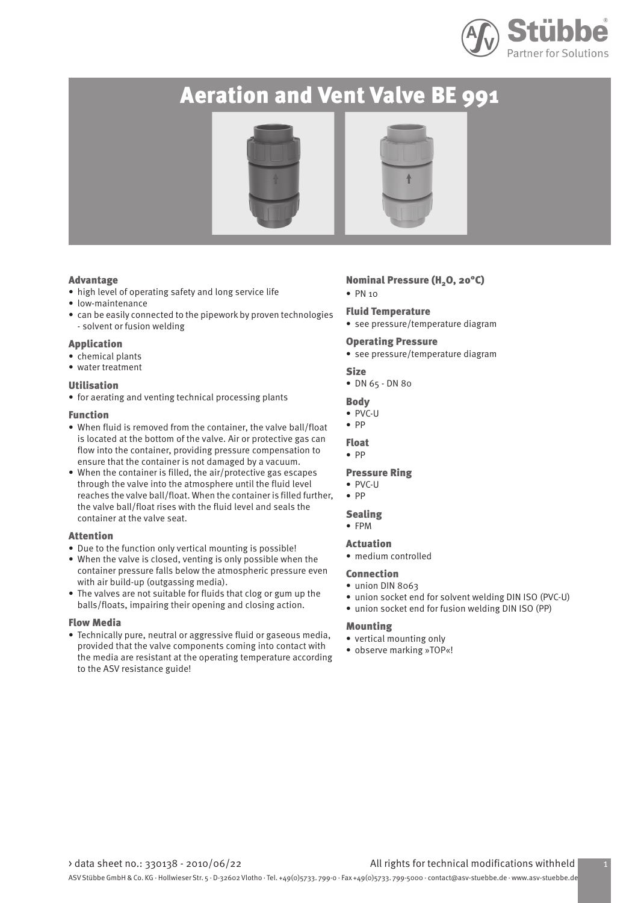

# Aeration and Vent Valve BE 991





#### Advantage

- high level of operating safety and long service life
- low-maintenance
- can be easily connected to the pipework by proven technologies - solvent or fusion welding

#### Application

- chemical plants
- water treatment

#### Utilisation

• for aerating and venting technical processing plants

#### Function

- When fluid is removed from the container, the valve ball/float is located at the bottom of the valve. Air or protective gas can flow into the container, providing pressure compensation to ensure that the container is not damaged by a vacuum.
- When the container is filled, the air/protective gas escapes through the valve into the atmosphere until the fluid level reaches the valve ball/float. When the container is filled further, the valve ball/float rises with the fluid level and seals the container at the valve seat.

#### Attention

- Due to the function only vertical mounting is possible!
- When the valve is closed, venting is only possible when the container pressure falls below the atmospheric pressure even with air build-up (outgassing media).
- The valves are not suitable for fluids that clog or gum up the balls/floats, impairing their opening and closing action.

#### Flow Media

• Technically pure, neutral or aggressive fluid or gaseous media, provided that the valve components coming into contact with the media are resistant at the operating temperature according to the ASV resistance guide!

#### Nominal Pressure (H<sub>2</sub>O, 20°C)

• PN 10

#### Fluid Temperature

• see pressure/temperature diagram

### Operating Pressure

• see pressure/temperature diagram

#### **Size**

• DN 65 - DN 80

#### Body

- PVC-U
- PP

### Float

• PP

#### Pressure Ring

- PVC-U
- PP

#### Sealing • FPM

Actuation

### • medium controlled

### Connection

- union DIN 8063
- union socket end for solvent welding DIN ISO (PVC-U)
- union socket end for fusion welding DIN ISO (PP)

#### Mounting

- vertical mounting only
- observe marking »TOP«!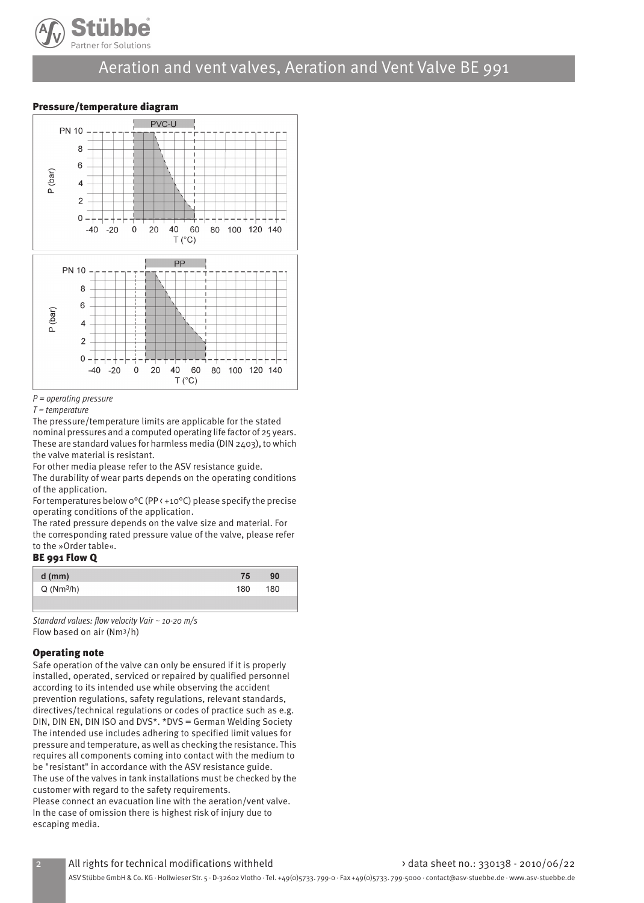

#### PVC-U **PN 10**  $\mathsf{R}$ 6 P (bar)  $\overline{4}$  $\overline{2}$  $\Omega$  –  $-40$  $-20$  $\mbox{O}$ 20 40 60 80 100 120 140  $T (°C)$ PP **PN 10** 8  $\overline{6}$ P (bar)  $\overline{4}$  $\overline{2}$  $0 -$ 20 60 80 100 120 140  $-40$  $-20$  $\mathbf 0$ 40  $T (°C)$

#### Pressure/temperature diagram



 $T = temperature$ 

The pressure/temperature limits are applicable for the stated nominal pressures and a computed operating life factor of 25 years. These are standard values for harmless media (DIN 2403), to which the valve material is resistant.

For other media please refer to the ASV resistance guide.

The durability of wear parts depends on the operating conditions of the application.

For temperatures below 0°C (PP < +10°C) please specify the precise operating conditions of the application.

The rated pressure depends on the valve size and material. For the corresponding rated pressure value of the valve, please refer to the »Order table«.

#### BE 991 Flow Q

| d (mm)      | 75  | 90  |
|-------------|-----|-----|
| $Q(Nm^3/h)$ | 180 | 180 |
|             |     |     |

Standard values: flow velocity Vair ~ 10-20 m/s Flow based on air (Nm3/h)

#### Operating note

Safe operation of the valve can only be ensured if it is properly installed, operated, serviced or repaired by qualified personnel according to its intended use while observing the accident prevention regulations, safety regulations, relevant standards, directives/technical regulations or codes of practice such as e.g. DIN, DIN EN, DIN ISO and DVS\*. \*DVS = German Welding Society The intended use includes adhering to specified limit values for pressure and temperature, as well as checking the resistance. This requires all components coming into contact with the medium to be "resistant" in accordance with the ASV resistance guide. The use of the valves in tank installations must be checked by the customer with regard to the safety requirements. Please connect an evacuation line with the aeration/vent valve.

In the case of omission there is highest risk of injury due to escaping media.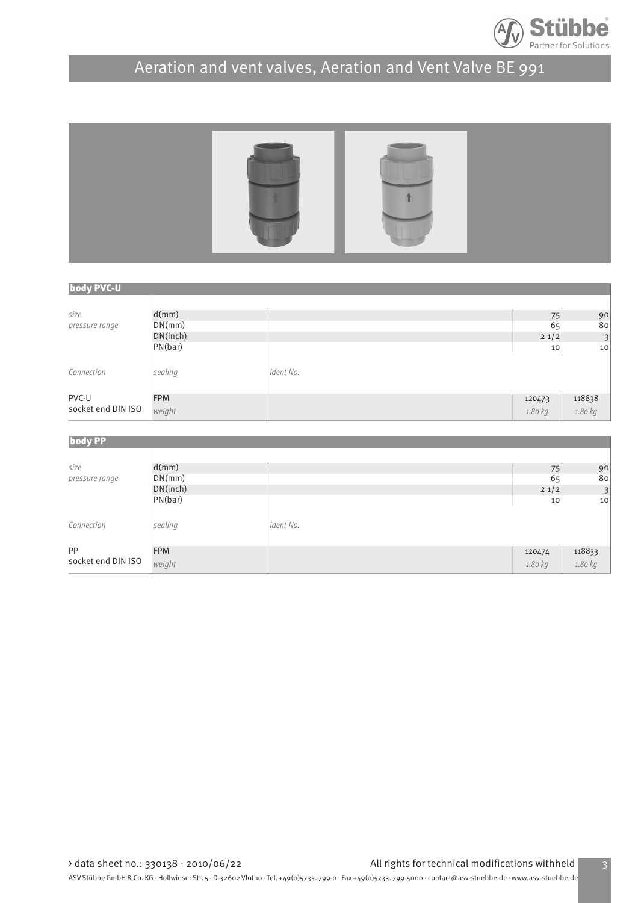



| body PVC-U         |            |           |         |         |
|--------------------|------------|-----------|---------|---------|
|                    |            |           |         |         |
| size               | d(mm)      |           | 75      | 90      |
| pressure range     | DN(mm)     |           | 65      | 80      |
|                    | DN(inch)   |           | 21/2    | 3       |
|                    | PN(bar)    |           | 10      | 10      |
| Connection         | sealing    | ident No. |         |         |
| PVC-U              | <b>FPM</b> |           | 120473  | 118838  |
| socket end DIN ISO | weight     |           | 1.80 kg | 1.80 kg |

| body PP            |            |           |         |         |
|--------------------|------------|-----------|---------|---------|
| size               | d(mm)      |           | 75      | 90      |
| pressure range     | DN(mm)     |           | 65      | 80      |
|                    | DN(inch)   |           | 21/2    | 3       |
|                    | PN(bar)    |           | 10      | 10      |
| Connection         | sealing    | ident No. |         |         |
| <b>PP</b>          | <b>FPM</b> |           | 120474  | 118833  |
| socket end DIN ISO | weight     |           | 1.80 kg | 1.80 kg |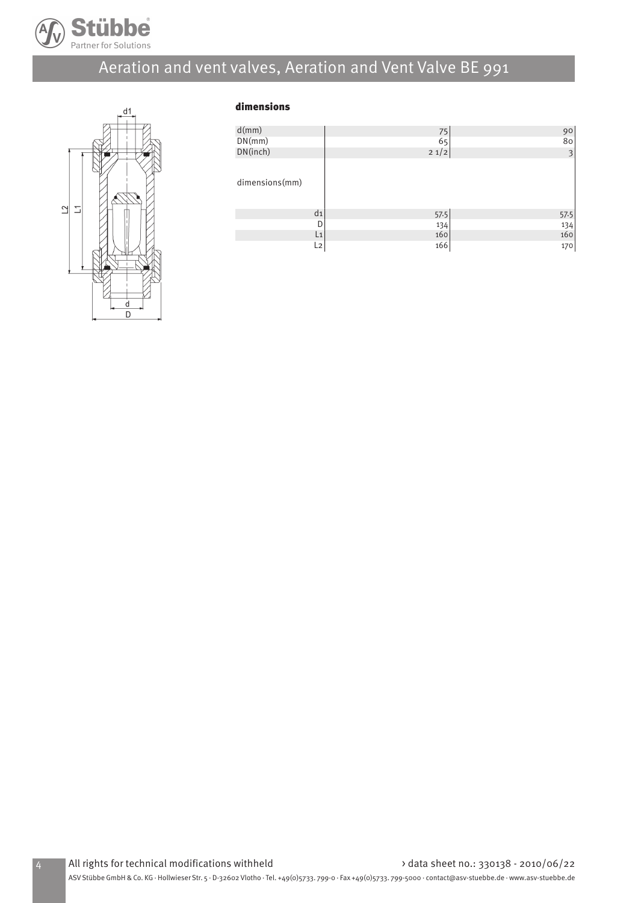



#### dimensions

| d(mm)          |                     | 75   | 90         |
|----------------|---------------------|------|------------|
| DN(mm)         |                     | 65   | 80         |
| DN(inch)       |                     | 21/2 | 3          |
| dimensions(mm) |                     |      |            |
|                | $d_{1}$             | 57.5 | 57.5       |
|                | D                   | 134  | 134<br>160 |
|                | L <sub>1</sub>      | 160  |            |
|                | $\lfloor 2 \rfloor$ | 166  | 170        |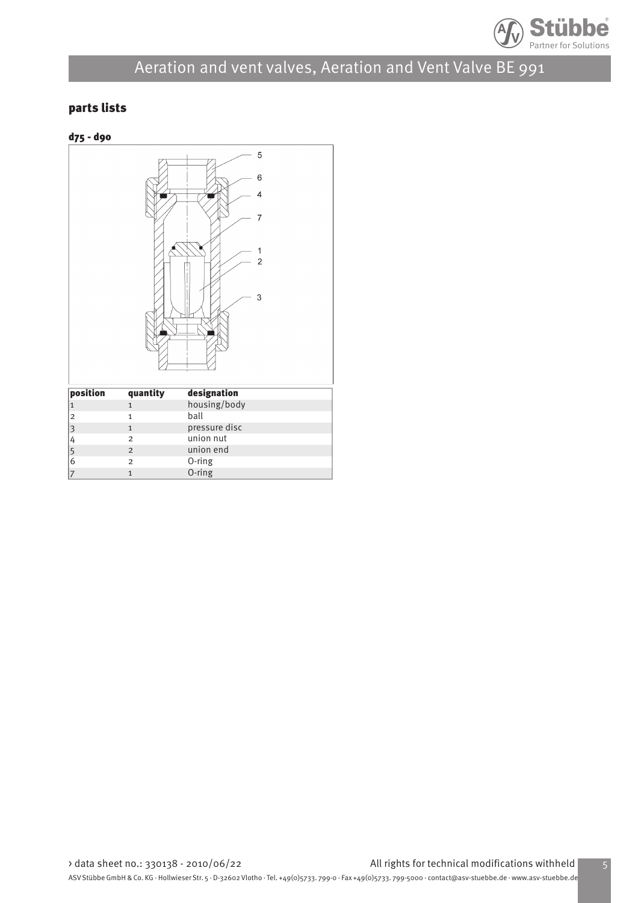

### parts lists



| position | quantity | designation   |
|----------|----------|---------------|
|          |          | housing/body  |
| 12       |          | ball          |
| 3        |          | pressure disc |
| 14       |          | union nut     |
| 5        |          | union end     |
| 16       |          | $O$ -ring     |
|          |          | O-ring        |